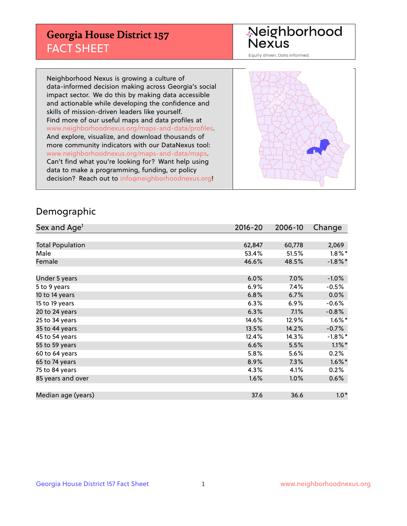## **Georgia House District 157** FACT SHEET

# Neighborhood<br>Nexus

Equity driven. Data informed.

Neighborhood Nexus is growing a culture of data-informed decision making across Georgia's social impact sector. We do this by making data accessible and actionable while developing the confidence and skills of mission-driven leaders like yourself. Find more of our useful maps and data profiles at www.neighborhoodnexus.org/maps-and-data/profiles. And explore, visualize, and download thousands of more community indicators with our DataNexus tool: www.neighborhoodnexus.org/maps-and-data/maps. Can't find what you're looking for? Want help using data to make a programming, funding, or policy decision? Reach out to [info@neighborhoodnexus.org!](mailto:info@neighborhoodnexus.org)



#### Demographic

| Sex and Age <sup>1</sup> | $2016 - 20$ | 2006-10 | Change               |
|--------------------------|-------------|---------|----------------------|
|                          |             |         |                      |
| <b>Total Population</b>  | 62,847      | 60,778  | 2,069                |
| Male                     | 53.4%       | 51.5%   | $1.8\%$ *            |
| Female                   | 46.6%       | 48.5%   | $-1.8\%$ *           |
|                          |             |         |                      |
| Under 5 years            | 6.0%        | 7.0%    | $-1.0%$              |
| 5 to 9 years             | $6.9\%$     | 7.4%    | $-0.5\%$             |
| 10 to 14 years           | 6.8%        | 6.7%    | $0.0\%$              |
| 15 to 19 years           | 6.3%        | 6.9%    | $-0.6%$              |
| 20 to 24 years           | 6.3%        | 7.1%    | $-0.8%$              |
| 25 to 34 years           | 14.6%       | 12.9%   | $1.6\%$ <sup>*</sup> |
| 35 to 44 years           | 13.5%       | 14.2%   | $-0.7%$              |
| 45 to 54 years           | 12.4%       | 14.3%   | $-1.8\%$ *           |
| 55 to 59 years           | 6.6%        | 5.5%    | $1.1\%$ *            |
| 60 to 64 years           | 5.8%        | 5.6%    | 0.2%                 |
| 65 to 74 years           | 8.9%        | 7.3%    | $1.6\%$ *            |
| 75 to 84 years           | 4.3%        | 4.1%    | 0.2%                 |
| 85 years and over        | 1.6%        | 1.0%    | 0.6%                 |
|                          |             |         |                      |
| Median age (years)       | 37.6        | 36.6    | $1.0*$               |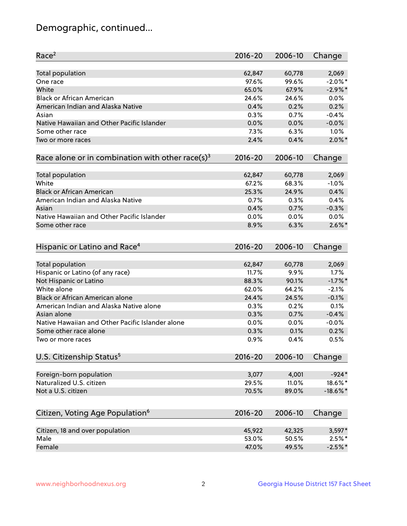## Demographic, continued...

| Race <sup>2</sup>                                            | $2016 - 20$ | 2006-10 | Change      |
|--------------------------------------------------------------|-------------|---------|-------------|
| <b>Total population</b>                                      | 62,847      | 60,778  | 2,069       |
| One race                                                     | 97.6%       | 99.6%   | $-2.0\%$ *  |
| White                                                        | 65.0%       | 67.9%   | $-2.9%$ *   |
| <b>Black or African American</b>                             | 24.6%       | 24.6%   | 0.0%        |
| American Indian and Alaska Native                            | 0.4%        | 0.2%    | 0.2%        |
| Asian                                                        | 0.3%        | 0.7%    | $-0.4%$     |
| Native Hawaiian and Other Pacific Islander                   | 0.0%        | 0.0%    | $-0.0%$     |
| Some other race                                              | 7.3%        | 6.3%    | 1.0%        |
| Two or more races                                            | 2.4%        | 0.4%    | $2.0\%$ *   |
| Race alone or in combination with other race(s) <sup>3</sup> | $2016 - 20$ | 2006-10 | Change      |
| Total population                                             | 62,847      | 60,778  | 2,069       |
| White                                                        | 67.2%       | 68.3%   | $-1.0%$     |
| <b>Black or African American</b>                             | 25.3%       | 24.9%   | 0.4%        |
| American Indian and Alaska Native                            | 0.7%        | 0.3%    | 0.4%        |
| Asian                                                        | 0.4%        | 0.7%    | $-0.3%$     |
| Native Hawaiian and Other Pacific Islander                   | 0.0%        | 0.0%    | 0.0%        |
| Some other race                                              | 8.9%        | 6.3%    | $2.6\%$ *   |
| Hispanic or Latino and Race <sup>4</sup>                     | $2016 - 20$ | 2006-10 | Change      |
| <b>Total population</b>                                      | 62,847      | 60,778  | 2,069       |
| Hispanic or Latino (of any race)                             | 11.7%       | 9.9%    | 1.7%        |
| Not Hispanic or Latino                                       | 88.3%       | 90.1%   | $-1.7%$ *   |
| White alone                                                  | 62.0%       | 64.2%   | $-2.1%$     |
| Black or African American alone                              | 24.4%       | 24.5%   | $-0.1%$     |
| American Indian and Alaska Native alone                      | 0.3%        | 0.2%    | 0.1%        |
| Asian alone                                                  | 0.3%        | 0.7%    | $-0.4%$     |
| Native Hawaiian and Other Pacific Islander alone             | 0.0%        | 0.0%    | $-0.0%$     |
| Some other race alone                                        | 0.3%        | 0.1%    | 0.2%        |
| Two or more races                                            | 0.9%        | 0.4%    | 0.5%        |
| U.S. Citizenship Status <sup>5</sup>                         | $2016 - 20$ | 2006-10 | Change      |
| Foreign-born population                                      | 3,077       | 4,001   | $-924*$     |
| Naturalized U.S. citizen                                     | 29.5%       | 11.0%   | 18.6%*      |
| Not a U.S. citizen                                           | 70.5%       | 89.0%   | $-18.6\%$ * |
|                                                              |             |         |             |
| Citizen, Voting Age Population <sup>6</sup>                  | 2016-20     | 2006-10 | Change      |
| Citizen, 18 and over population                              | 45,922      | 42,325  | $3,597*$    |
| Male                                                         | 53.0%       | 50.5%   | $2.5%$ *    |
| Female                                                       | 47.0%       | 49.5%   | $-2.5%$ *   |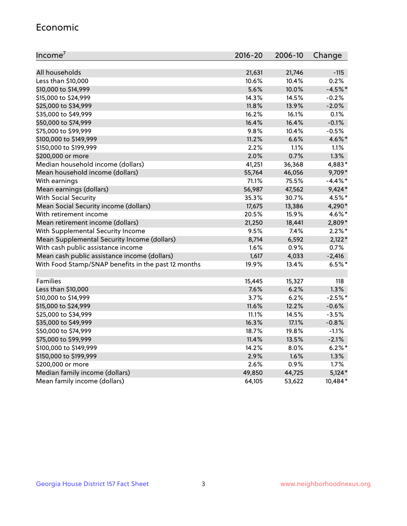#### Economic

| Income <sup>7</sup>                                 | 2016-20 | 2006-10 | Change     |
|-----------------------------------------------------|---------|---------|------------|
|                                                     |         |         |            |
| All households                                      | 21,631  | 21,746  | $-115$     |
| Less than \$10,000                                  | 10.6%   | 10.4%   | 0.2%       |
| \$10,000 to \$14,999                                | 5.6%    | 10.0%   | $-4.5%$ *  |
| \$15,000 to \$24,999                                | 14.3%   | 14.5%   | $-0.2%$    |
| \$25,000 to \$34,999                                | 11.8%   | 13.9%   | $-2.0%$    |
| \$35,000 to \$49,999                                | 16.2%   | 16.1%   | $0.1\%$    |
| \$50,000 to \$74,999                                | 16.4%   | 16.4%   | $-0.1%$    |
| \$75,000 to \$99,999                                | 9.8%    | 10.4%   | $-0.5%$    |
| \$100,000 to \$149,999                              | 11.2%   | 6.6%    | 4.6%*      |
| \$150,000 to \$199,999                              | 2.2%    | 1.1%    | 1.1%       |
| \$200,000 or more                                   | 2.0%    | 0.7%    | 1.3%       |
| Median household income (dollars)                   | 41,251  | 36,368  | 4,883*     |
| Mean household income (dollars)                     | 55,764  | 46,056  | 9,709*     |
| With earnings                                       | 71.1%   | 75.5%   | $-4.4\%$ * |
| Mean earnings (dollars)                             | 56,987  | 47,562  | $9,424*$   |
| <b>With Social Security</b>                         | 35.3%   | 30.7%   | 4.5%*      |
| Mean Social Security income (dollars)               | 17,675  | 13,386  | 4,290*     |
| With retirement income                              | 20.5%   | 15.9%   | 4.6%*      |
| Mean retirement income (dollars)                    | 21,250  | 18,441  | 2,809*     |
| With Supplemental Security Income                   | 9.5%    | 7.4%    | $2.2\%$ *  |
| Mean Supplemental Security Income (dollars)         | 8,714   | 6,592   | $2,122*$   |
| With cash public assistance income                  | 1.6%    | 0.9%    | 0.7%       |
| Mean cash public assistance income (dollars)        | 1,617   | 4,033   | $-2,416$   |
| With Food Stamp/SNAP benefits in the past 12 months | 19.9%   | 13.4%   | $6.5%$ *   |
|                                                     |         |         |            |
| Families                                            | 15,445  | 15,327  | 118        |
| Less than \$10,000                                  | 7.6%    | 6.2%    | 1.3%       |
| \$10,000 to \$14,999                                | 3.7%    | 6.2%    | $-2.5%$ *  |
| \$15,000 to \$24,999                                | 11.6%   | 12.2%   | $-0.6%$    |
| \$25,000 to \$34,999                                | 11.1%   | 14.5%   | $-3.5%$    |
| \$35,000 to \$49,999                                | 16.3%   | 17.1%   | $-0.8%$    |
| \$50,000 to \$74,999                                | 18.7%   | 19.8%   | $-1.1%$    |
| \$75,000 to \$99,999                                | 11.4%   | 13.5%   | $-2.1%$    |
| \$100,000 to \$149,999                              | 14.2%   | 8.0%    | $6.2%$ *   |
| \$150,000 to \$199,999                              | 2.9%    | 1.6%    | 1.3%       |
| \$200,000 or more                                   | 2.6%    | 0.9%    | 1.7%       |
| Median family income (dollars)                      | 49,850  | 44,725  | $5,124*$   |
| Mean family income (dollars)                        | 64,105  | 53,622  | 10,484*    |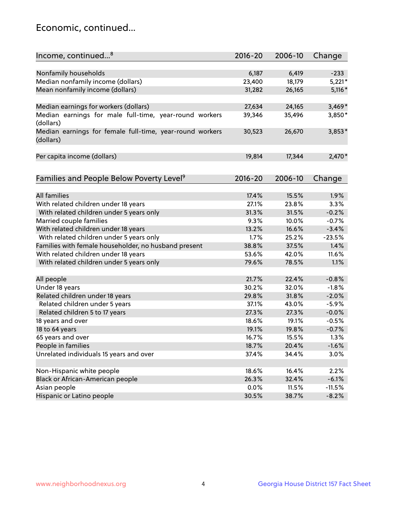## Economic, continued...

| Income, continued <sup>8</sup>                           | $2016 - 20$ | 2006-10 | Change   |
|----------------------------------------------------------|-------------|---------|----------|
|                                                          |             |         |          |
| Nonfamily households                                     | 6,187       | 6,419   | $-233$   |
| Median nonfamily income (dollars)                        | 23,400      | 18,179  | $5,221*$ |
| Mean nonfamily income (dollars)                          | 31,282      | 26,165  | $5,116*$ |
|                                                          |             |         |          |
| Median earnings for workers (dollars)                    | 27,634      | 24,165  | $3,469*$ |
| Median earnings for male full-time, year-round workers   | 39,346      | 35,496  | 3,850*   |
| (dollars)                                                |             |         |          |
| Median earnings for female full-time, year-round workers | 30,523      | 26,670  | $3,853*$ |
| (dollars)                                                |             |         |          |
|                                                          |             |         |          |
| Per capita income (dollars)                              | 19,814      | 17,344  | $2,470*$ |
|                                                          |             |         |          |
|                                                          |             |         |          |
| Families and People Below Poverty Level <sup>9</sup>     | $2016 - 20$ | 2006-10 | Change   |
|                                                          |             |         |          |
| <b>All families</b>                                      | 17.4%       | 15.5%   | 1.9%     |
| With related children under 18 years                     | 27.1%       | 23.8%   | 3.3%     |
| With related children under 5 years only                 | 31.3%       | 31.5%   | $-0.2%$  |
| Married couple families                                  | 9.3%        | 10.0%   | $-0.7%$  |
| With related children under 18 years                     | 13.2%       | 16.6%   | $-3.4%$  |
| With related children under 5 years only                 | 1.7%        | 25.2%   | $-23.5%$ |
| Families with female householder, no husband present     | 38.8%       | 37.5%   | 1.4%     |
| With related children under 18 years                     | 53.6%       | 42.0%   | 11.6%    |
| With related children under 5 years only                 | 79.6%       | 78.5%   | 1.1%     |
|                                                          |             |         |          |
| All people                                               | 21.7%       | 22.4%   | $-0.8%$  |
| Under 18 years                                           | 30.2%       | 32.0%   | $-1.8%$  |
| Related children under 18 years                          | 29.8%       | 31.8%   | $-2.0%$  |
| Related children under 5 years                           | 37.1%       | 43.0%   | $-5.9%$  |
| Related children 5 to 17 years                           | 27.3%       | 27.3%   | $-0.0%$  |
| 18 years and over                                        | 18.6%       | 19.1%   | $-0.5%$  |
| 18 to 64 years                                           | 19.1%       | 19.8%   | $-0.7%$  |
| 65 years and over                                        | 16.7%       | 15.5%   | 1.3%     |
| People in families                                       | 18.7%       | 20.4%   | $-1.6%$  |
| Unrelated individuals 15 years and over                  | 37.4%       | 34.4%   | 3.0%     |
|                                                          |             |         |          |
| Non-Hispanic white people                                | 18.6%       | 16.4%   | 2.2%     |
| Black or African-American people                         | 26.3%       | 32.4%   | $-6.1%$  |
| Asian people                                             | 0.0%        | 11.5%   | $-11.5%$ |
| Hispanic or Latino people                                | 30.5%       | 38.7%   | $-8.2%$  |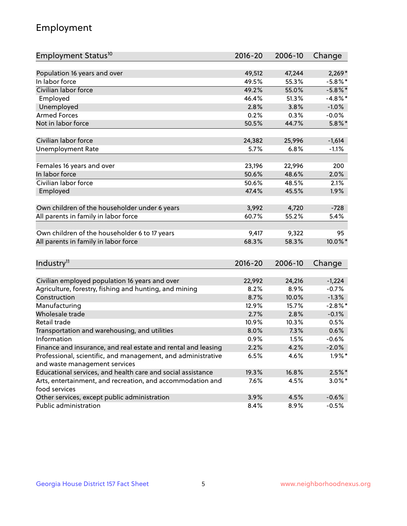## Employment

| Employment Status <sup>10</sup>                                             | $2016 - 20$ | 2006-10        | Change     |
|-----------------------------------------------------------------------------|-------------|----------------|------------|
|                                                                             |             |                |            |
| Population 16 years and over<br>In labor force                              | 49,512      | 47,244         | $2,269*$   |
| Civilian labor force                                                        | 49.5%       | 55.3%          | $-5.8\%$ * |
|                                                                             | 49.2%       | 55.0%          | $-5.8\%$ * |
| Employed                                                                    | 46.4%       | 51.3%          | $-4.8\%$ * |
| Unemployed                                                                  | 2.8%        | 3.8%           | $-1.0%$    |
| <b>Armed Forces</b>                                                         | 0.2%        | 0.3%           | $-0.0%$    |
| Not in labor force                                                          | 50.5%       | 44.7%          | $5.8\%$ *  |
| Civilian labor force                                                        | 24,382      | 25,996         | $-1,614$   |
| <b>Unemployment Rate</b>                                                    | 5.7%        | 6.8%           | $-1.1%$    |
|                                                                             |             |                |            |
| Females 16 years and over                                                   | 23,196      | 22,996         | 200        |
| In labor force                                                              | 50.6%       | 48.6%          | 2.0%       |
| Civilian labor force                                                        | 50.6%       | 48.5%          | 2.1%       |
| Employed                                                                    | 47.4%       | 45.5%          | 1.9%       |
|                                                                             |             |                | $-728$     |
| Own children of the householder under 6 years                               | 3,992       | 4,720<br>55.2% |            |
| All parents in family in labor force                                        | 60.7%       |                | 5.4%       |
| Own children of the householder 6 to 17 years                               | 9,417       | 9,322          | 95         |
| All parents in family in labor force                                        | 68.3%       | 58.3%          | 10.0%*     |
|                                                                             |             |                |            |
| Industry <sup>11</sup>                                                      | $2016 - 20$ | 2006-10        | Change     |
|                                                                             |             |                |            |
| Civilian employed population 16 years and over                              | 22,992      | 24,216         | $-1,224$   |
| Agriculture, forestry, fishing and hunting, and mining                      | 8.2%        | 8.9%           | $-0.7%$    |
| Construction                                                                | 8.7%        | 10.0%          | $-1.3%$    |
| Manufacturing                                                               | 12.9%       | 15.7%          | $-2.8\%$ * |
| Wholesale trade                                                             | 2.7%        | 2.8%           | $-0.1%$    |
| Retail trade                                                                | 10.9%       | 10.3%          | 0.5%       |
| Transportation and warehousing, and utilities                               | 8.0%        | 7.3%           | 0.6%       |
| Information                                                                 | 0.9%        | 1.5%           | $-0.6%$    |
| Finance and insurance, and real estate and rental and leasing               | 2.2%        | 4.2%           | $-2.0\%$   |
| Professional, scientific, and management, and administrative                | 6.5%        | 4.6%           | $1.9\%$ *  |
| and waste management services                                               |             |                |            |
| Educational services, and health care and social assistance                 | 19.3%       | 16.8%          | $2.5%$ *   |
| Arts, entertainment, and recreation, and accommodation and<br>food services | 7.6%        | 4.5%           | $3.0\%$ *  |
| Other services, except public administration                                | 3.9%        | 4.5%           | $-0.6%$    |
| Public administration                                                       | 8.4%        | 8.9%           | $-0.5%$    |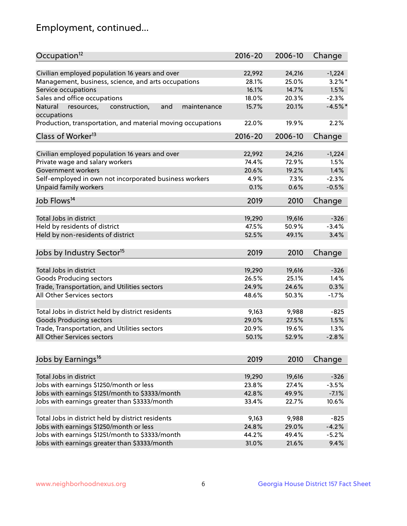## Employment, continued...

| Occupation <sup>12</sup>                                                    | $2016 - 20$ | 2006-10 | Change    |
|-----------------------------------------------------------------------------|-------------|---------|-----------|
| Civilian employed population 16 years and over                              | 22,992      |         |           |
|                                                                             |             | 24,216  | $-1,224$  |
| Management, business, science, and arts occupations                         | 28.1%       | 25.0%   | $3.2\%$ * |
| Service occupations                                                         | 16.1%       | 14.7%   | 1.5%      |
| Sales and office occupations                                                | 18.0%       | 20.3%   | $-2.3%$   |
| Natural<br>and<br>resources,<br>construction,<br>maintenance<br>occupations | 15.7%       | 20.1%   | $-4.5%$ * |
| Production, transportation, and material moving occupations                 | 22.0%       | 19.9%   | 2.2%      |
| Class of Worker <sup>13</sup>                                               | $2016 - 20$ | 2006-10 | Change    |
| Civilian employed population 16 years and over                              | 22,992      | 24,216  | $-1,224$  |
| Private wage and salary workers                                             | 74.4%       | 72.9%   | 1.5%      |
|                                                                             |             |         |           |
| Government workers                                                          | 20.6%       | 19.2%   | 1.4%      |
| Self-employed in own not incorporated business workers                      | 4.9%        | 7.3%    | $-2.3%$   |
| Unpaid family workers                                                       | 0.1%        | 0.6%    | $-0.5%$   |
| Job Flows <sup>14</sup>                                                     | 2019        | 2010    | Change    |
|                                                                             |             |         |           |
| Total Jobs in district                                                      | 19,290      | 19,616  | $-326$    |
| Held by residents of district                                               | 47.5%       | 50.9%   | $-3.4%$   |
| Held by non-residents of district                                           | 52.5%       | 49.1%   | 3.4%      |
| Jobs by Industry Sector <sup>15</sup>                                       | 2019        | 2010    | Change    |
|                                                                             |             |         |           |
| Total Jobs in district                                                      | 19,290      | 19,616  | $-326$    |
| <b>Goods Producing sectors</b>                                              | 26.5%       | 25.1%   | 1.4%      |
| Trade, Transportation, and Utilities sectors                                | 24.9%       | 24.6%   | 0.3%      |
| All Other Services sectors                                                  | 48.6%       | 50.3%   | $-1.7%$   |
| Total Jobs in district held by district residents                           | 9,163       | 9,988   | $-825$    |
| <b>Goods Producing sectors</b>                                              | 29.0%       | 27.5%   | 1.5%      |
| Trade, Transportation, and Utilities sectors                                | 20.9%       | 19.6%   | 1.3%      |
| All Other Services sectors                                                  | 50.1%       | 52.9%   | $-2.8%$   |
|                                                                             |             |         |           |
| Jobs by Earnings <sup>16</sup>                                              | 2019        | 2010    | Change    |
|                                                                             |             |         |           |
| Total Jobs in district                                                      | 19,290      | 19,616  | $-326$    |
| Jobs with earnings \$1250/month or less                                     | 23.8%       | 27.4%   | $-3.5%$   |
| Jobs with earnings \$1251/month to \$3333/month                             | 42.8%       | 49.9%   | $-7.1%$   |
| Jobs with earnings greater than \$3333/month                                | 33.4%       | 22.7%   | 10.6%     |
| Total Jobs in district held by district residents                           | 9,163       | 9,988   | $-825$    |
| Jobs with earnings \$1250/month or less                                     | 24.8%       | 29.0%   | $-4.2%$   |
| Jobs with earnings \$1251/month to \$3333/month                             | 44.2%       | 49.4%   | $-5.2%$   |
| Jobs with earnings greater than \$3333/month                                | 31.0%       | 21.6%   | 9.4%      |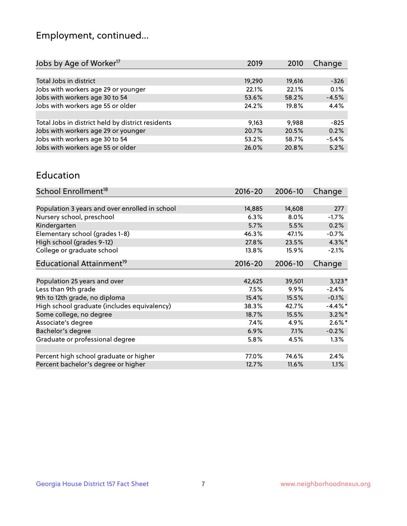## Employment, continued...

| 2019   | 2010   | Change  |
|--------|--------|---------|
|        |        |         |
| 19,290 | 19,616 | $-326$  |
| 22.1%  | 22.1%  | 0.1%    |
| 53.6%  | 58.2%  | $-4.5%$ |
| 24.2%  | 19.8%  | 4.4%    |
|        |        |         |
| 9,163  | 9.988  | -825    |
| 20.7%  | 20.5%  | 0.2%    |
| 53.2%  | 58.7%  | $-5.4%$ |
| 26.0%  | 20.8%  | 5.2%    |
|        |        |         |

#### Education

| School Enrollment <sup>18</sup>                | $2016 - 20$ | 2006-10 | Change     |
|------------------------------------------------|-------------|---------|------------|
|                                                |             |         |            |
| Population 3 years and over enrolled in school | 14,885      | 14,608  | 277        |
| Nursery school, preschool                      | 6.3%        | $8.0\%$ | $-1.7%$    |
| Kindergarten                                   | 5.7%        | 5.5%    | 0.2%       |
| Elementary school (grades 1-8)                 | 46.3%       | 47.1%   | $-0.7%$    |
| High school (grades 9-12)                      | 27.8%       | 23.5%   | $4.3\%$ *  |
| College or graduate school                     | 13.8%       | 15.9%   | $-2.1%$    |
| Educational Attainment <sup>19</sup>           | $2016 - 20$ | 2006-10 | Change     |
|                                                |             |         |            |
| Population 25 years and over                   | 42,625      | 39,501  | $3,123*$   |
| Less than 9th grade                            | 7.5%        | $9.9\%$ | $-2.4%$    |
| 9th to 12th grade, no diploma                  | 15.4%       | 15.5%   | $-0.1%$    |
| High school graduate (includes equivalency)    | 38.3%       | 42.7%   | $-4.4\%$ * |
| Some college, no degree                        | 18.7%       | 15.5%   | $3.2\%$ *  |
| Associate's degree                             | 7.4%        | 4.9%    | $2.6\%$ *  |
| Bachelor's degree                              | 6.9%        | 7.1%    | $-0.2%$    |
| Graduate or professional degree                | 5.8%        | 4.5%    | $1.3\%$    |
|                                                |             |         |            |
| Percent high school graduate or higher         | 77.0%       | 74.6%   | 2.4%       |
| Percent bachelor's degree or higher            | 12.7%       | 11.6%   | 1.1%       |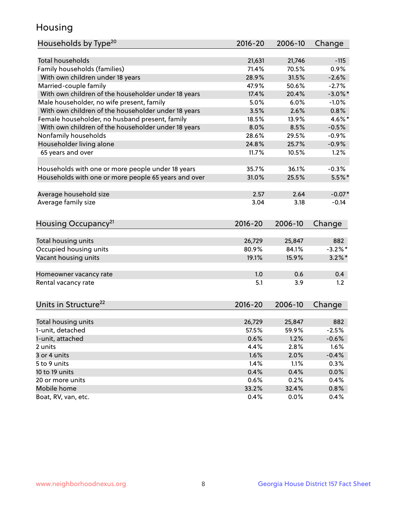## Housing

| Households by Type <sup>20</sup>                     | $2016 - 20$     | 2006-10         | Change          |
|------------------------------------------------------|-----------------|-----------------|-----------------|
|                                                      |                 |                 |                 |
| <b>Total households</b>                              | 21,631          | 21,746          | $-115$          |
| Family households (families)                         | 71.4%           | 70.5%           | 0.9%            |
| With own children under 18 years                     | 28.9%           | 31.5%           | $-2.6%$         |
| Married-couple family                                | 47.9%           | 50.6%           | $-2.7%$         |
| With own children of the householder under 18 years  | 17.4%           | 20.4%           | $-3.0\%$ *      |
| Male householder, no wife present, family            | 5.0%            | 6.0%            | $-1.0%$         |
| With own children of the householder under 18 years  | 3.5%            | 2.6%            | 0.8%            |
| Female householder, no husband present, family       | 18.5%           | 13.9%           | 4.6%*           |
| With own children of the householder under 18 years  | 8.0%            | 8.5%            | $-0.5%$         |
| Nonfamily households                                 | 28.6%           | 29.5%           | $-0.9%$         |
| Householder living alone                             | 24.8%           | 25.7%           | $-0.9%$         |
| 65 years and over                                    | 11.7%           | 10.5%           | 1.2%            |
|                                                      |                 |                 |                 |
| Households with one or more people under 18 years    | 35.7%           | 36.1%           | $-0.3%$         |
| Households with one or more people 65 years and over | 31.0%           | 25.5%           | $5.5\%$ *       |
|                                                      |                 |                 |                 |
| Average household size                               | 2.57            | 2.64            | $-0.07*$        |
| Average family size                                  | 3.04            | 3.18            | $-0.14$         |
|                                                      |                 |                 |                 |
| Housing Occupancy <sup>21</sup>                      | 2016-20         | 2006-10         | Change          |
|                                                      |                 |                 |                 |
| Total housing units                                  | 26,729          | 25,847          | 882             |
| Occupied housing units                               | 80.9%           | 84.1%           | $-3.2\%$ *      |
| Vacant housing units                                 | 19.1%           | 15.9%           | $3.2\%$ *       |
|                                                      |                 |                 |                 |
| Homeowner vacancy rate                               | 1.0             | 0.6             | 0.4             |
| Rental vacancy rate                                  |                 |                 |                 |
|                                                      | 5.1             | 3.9             | 1.2             |
|                                                      |                 |                 |                 |
|                                                      | $2016 - 20$     | 2006-10         |                 |
| Units in Structure <sup>22</sup>                     |                 |                 | Change          |
|                                                      |                 |                 |                 |
| Total housing units<br>1-unit, detached              | 26,729<br>57.5% | 25,847<br>59.9% | 882<br>$-2.5%$  |
|                                                      |                 |                 |                 |
| 1-unit, attached<br>2 units                          | 0.6%            | 1.2%            | $-0.6%$         |
|                                                      | 4.4%            | 2.8%            | 1.6%            |
| 3 or 4 units<br>5 to 9 units                         | 1.6%<br>1.4%    | 2.0%<br>1.1%    | $-0.4%$<br>0.3% |
| 10 to 19 units                                       |                 |                 | 0.0%            |
| 20 or more units                                     | 0.4%<br>0.6%    | 0.4%<br>0.2%    | 0.4%            |
| Mobile home                                          | 33.2%           | 32.4%           | 0.8%            |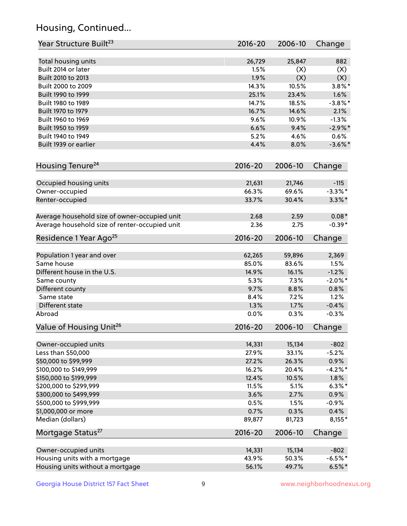## Housing, Continued...

| Year Structure Built <sup>23</sup>             | 2016-20     | 2006-10 | Change     |
|------------------------------------------------|-------------|---------|------------|
| Total housing units                            | 26,729      | 25,847  | 882        |
| Built 2014 or later                            | 1.5%        | (X)     | (X)        |
| Built 2010 to 2013                             | 1.9%        | (X)     | (X)        |
| Built 2000 to 2009                             | 14.3%       | 10.5%   | $3.8\%$ *  |
|                                                | 25.1%       | 23.4%   |            |
| Built 1990 to 1999                             |             |         | 1.6%       |
| Built 1980 to 1989                             | 14.7%       | 18.5%   | $-3.8\%$ * |
| Built 1970 to 1979                             | 16.7%       | 14.6%   | 2.1%       |
| Built 1960 to 1969                             | 9.6%        | 10.9%   | $-1.3%$    |
| Built 1950 to 1959                             | 6.6%        | 9.4%    | $-2.9\%$ * |
| Built 1940 to 1949                             | 5.2%        | 4.6%    | 0.6%       |
| Built 1939 or earlier                          | 4.4%        | 8.0%    | $-3.6\%$ * |
| Housing Tenure <sup>24</sup>                   | $2016 - 20$ | 2006-10 | Change     |
| Occupied housing units                         | 21,631      | 21,746  | $-115$     |
| Owner-occupied                                 | 66.3%       | 69.6%   | $-3.3\%$ * |
| Renter-occupied                                | 33.7%       | 30.4%   | $3.3\%$ *  |
| Average household size of owner-occupied unit  | 2.68        | 2.59    | $0.08*$    |
| Average household size of renter-occupied unit | 2.36        | 2.75    | $-0.39*$   |
| Residence 1 Year Ago <sup>25</sup>             | $2016 - 20$ | 2006-10 | Change     |
| Population 1 year and over                     | 62,265      | 59,896  | 2,369      |
| Same house                                     | 85.0%       | 83.6%   | 1.5%       |
| Different house in the U.S.                    | 14.9%       | 16.1%   | $-1.2%$    |
| Same county                                    | 5.3%        | 7.3%    | $-2.0\%$ * |
| Different county                               | 9.7%        | 8.8%    | 0.8%       |
| Same state                                     | 8.4%        | 7.2%    | 1.2%       |
| Different state                                | 1.3%        | 1.7%    | $-0.4%$    |
| Abroad                                         | 0.0%        | 0.3%    | $-0.3%$    |
|                                                |             |         |            |
| Value of Housing Unit <sup>26</sup>            | $2016 - 20$ | 2006-10 | Change     |
| Owner-occupied units                           | 14,331      | 15,134  | $-802$     |
| Less than \$50,000                             | 27.9%       | 33.1%   | $-5.2%$    |
| \$50,000 to \$99,999                           | 27.2%       | 26.3%   | 0.9%       |
| \$100,000 to \$149,999                         | 16.2%       | 20.4%   | $-4.2%$ *  |
| \$150,000 to \$199,999                         | 12.4%       | 10.5%   | 1.8%       |
| \$200,000 to \$299,999                         | 11.5%       | 5.1%    | $6.3\%$ *  |
| \$300,000 to \$499,999                         | 3.6%        | 2.7%    | 0.9%       |
| \$500,000 to \$999,999                         | 0.5%        | 1.5%    | $-0.9%$    |
| \$1,000,000 or more                            | 0.7%        | 0.3%    | 0.4%       |
| Median (dollars)                               | 89,877      | 81,723  | $8,155*$   |
| Mortgage Status <sup>27</sup>                  | $2016 - 20$ | 2006-10 | Change     |
|                                                |             |         |            |
| Owner-occupied units                           | 14,331      | 15,134  | $-802$     |
| Housing units with a mortgage                  | 43.9%       | 50.3%   | $-6.5%$ *  |
| Housing units without a mortgage               | 56.1%       | 49.7%   | $6.5%$ *   |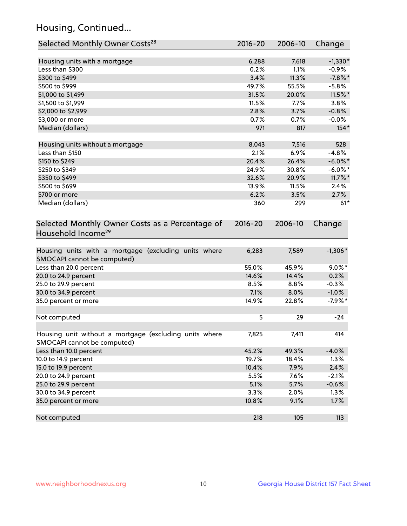## Housing, Continued...

| Selected Monthly Owner Costs <sup>28</sup>                                            | $2016 - 20$ | 2006-10 | Change     |
|---------------------------------------------------------------------------------------|-------------|---------|------------|
| Housing units with a mortgage                                                         | 6,288       | 7,618   | $-1,330*$  |
| Less than \$300                                                                       | 0.2%        | 1.1%    | $-0.9%$    |
| \$300 to \$499                                                                        | 3.4%        | 11.3%   | $-7.8\%$ * |
| \$500 to \$999                                                                        | 49.7%       | 55.5%   | $-5.8%$    |
| \$1,000 to \$1,499                                                                    | 31.5%       | 20.0%   | $11.5\%$ * |
| \$1,500 to \$1,999                                                                    | 11.5%       | 7.7%    | 3.8%       |
| \$2,000 to \$2,999                                                                    | 2.8%        | 3.7%    | $-0.8%$    |
| \$3,000 or more                                                                       | 0.7%        | 0.7%    | $-0.0%$    |
| Median (dollars)                                                                      | 971         | 817     | $154*$     |
| Housing units without a mortgage                                                      | 8,043       | 7,516   | 528        |
| Less than \$150                                                                       | 2.1%        | 6.9%    | $-4.8%$    |
| \$150 to \$249                                                                        | 20.4%       | 26.4%   | $-6.0\%$ * |
| \$250 to \$349                                                                        | 24.9%       | 30.8%   | $-6.0\%$ * |
| \$350 to \$499                                                                        | 32.6%       | 20.9%   | $11.7\%$ * |
| \$500 to \$699                                                                        | 13.9%       | 11.5%   | 2.4%       |
| \$700 or more                                                                         | 6.2%        | 3.5%    | 2.7%       |
| Median (dollars)                                                                      | 360         | 299     | $61*$      |
| Selected Monthly Owner Costs as a Percentage of<br>Household Income <sup>29</sup>     | $2016 - 20$ | 2006-10 | Change     |
| Housing units with a mortgage (excluding units where<br>SMOCAPI cannot be computed)   | 6,283       | 7,589   | $-1,306*$  |
| Less than 20.0 percent                                                                | 55.0%       | 45.9%   | $9.0\%$ *  |
| 20.0 to 24.9 percent                                                                  | 14.6%       | 14.4%   | 0.2%       |
| 25.0 to 29.9 percent                                                                  | 8.5%        | 8.8%    | $-0.3%$    |
| 30.0 to 34.9 percent                                                                  | 7.1%        | 8.0%    | $-1.0%$    |
| 35.0 percent or more                                                                  | 14.9%       | 22.8%   | $-7.9%$ *  |
| Not computed                                                                          | 5           | 29      | $-24$      |
| Housing unit without a mortgage (excluding units where<br>SMOCAPI cannot be computed) | 7,825       | 7,411   | 414        |
| Less than 10.0 percent                                                                | 45.2%       | 49.3%   | $-4.0%$    |
| 10.0 to 14.9 percent                                                                  | 19.7%       | 18.4%   | 1.3%       |
| 15.0 to 19.9 percent                                                                  | 10.4%       | 7.9%    | 2.4%       |
| 20.0 to 24.9 percent                                                                  | 5.5%        | 7.6%    | $-2.1%$    |
| 25.0 to 29.9 percent                                                                  | 5.1%        | 5.7%    | $-0.6%$    |
| 30.0 to 34.9 percent                                                                  | 3.3%        | 2.0%    | 1.3%       |
| 35.0 percent or more                                                                  | 10.8%       | 9.1%    | 1.7%       |
| Not computed                                                                          | 218         | 105     | 113        |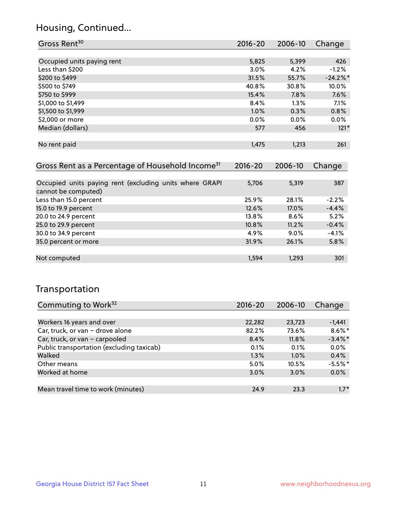### Housing, Continued...

| Gross Rent <sup>30</sup>                                     | 2016-20     | 2006-10 | Change      |
|--------------------------------------------------------------|-------------|---------|-------------|
|                                                              |             |         |             |
| Occupied units paying rent                                   | 5,825       | 5,399   | 426         |
| Less than \$200                                              | 3.0%        | 4.2%    | $-1.2%$     |
| \$200 to \$499                                               | 31.5%       | 55.7%   | $-24.2\%$ * |
| \$500 to \$749                                               | 40.8%       | 30.8%   | 10.0%       |
| \$750 to \$999                                               | 15.4%       | 7.8%    | 7.6%        |
| \$1,000 to \$1,499                                           | 8.4%        | $1.3\%$ | 7.1%        |
| \$1,500 to \$1,999                                           | $1.0\%$     | 0.3%    | 0.8%        |
| \$2,000 or more                                              | 0.0%        | 0.0%    | $0.0\%$     |
| Median (dollars)                                             | 577         | 456     | $121*$      |
|                                                              |             |         |             |
| No rent paid                                                 | 1,475       | 1,213   | 261         |
|                                                              |             |         |             |
| Gross Rent as a Percentage of Household Income <sup>31</sup> | $2016 - 20$ | 2006-10 | Change      |

| Occupied units paying rent (excluding units where GRAPI<br>cannot be computed) | 5,706 | 5,319   | 387     |
|--------------------------------------------------------------------------------|-------|---------|---------|
| Less than 15.0 percent                                                         | 25.9% | 28.1%   | $-2.2%$ |
| 15.0 to 19.9 percent                                                           | 12.6% | 17.0%   | $-4.4%$ |
| 20.0 to 24.9 percent                                                           | 13.8% | $8.6\%$ | 5.2%    |
| 25.0 to 29.9 percent                                                           | 10.8% | 11.2%   | $-0.4%$ |
| 30.0 to 34.9 percent                                                           | 4.9%  | $9.0\%$ | $-4.1%$ |
| 35.0 percent or more                                                           | 31.9% | 26.1%   | 5.8%    |
|                                                                                |       |         |         |
| Not computed                                                                   | 1,594 | 1,293   | 301     |
|                                                                                |       |         |         |

### Transportation

| Commuting to Work <sup>32</sup>           | 2016-20 | 2006-10 | Change     |
|-------------------------------------------|---------|---------|------------|
|                                           |         |         |            |
| Workers 16 years and over                 | 22,282  | 23,723  | $-1,441$   |
| Car, truck, or van - drove alone          | 82.2%   | 73.6%   | $8.6\%$ *  |
| Car, truck, or van - carpooled            | 8.4%    | 11.8%   | $-3.4\%$ * |
| Public transportation (excluding taxicab) | 0.1%    | 0.1%    | 0.0%       |
| Walked                                    | 1.3%    | 1.0%    | 0.4%       |
| Other means                               | 5.0%    | 10.5%   | $-5.5%$ *  |
| Worked at home                            | 3.0%    | 3.0%    | 0.0%       |
|                                           |         |         |            |
| Mean travel time to work (minutes)        | 24.9    | 23.3    | $1.7*$     |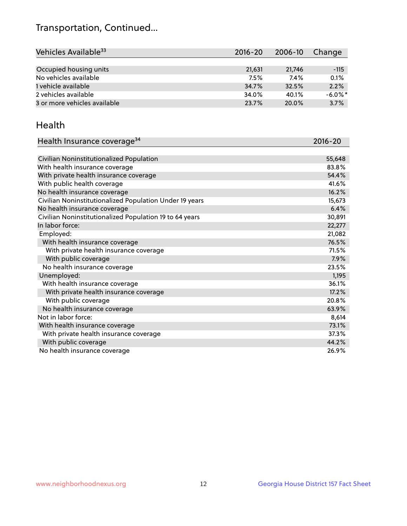## Transportation, Continued...

| Vehicles Available <sup>33</sup> | $2016 - 20$ | 2006-10 | Change     |
|----------------------------------|-------------|---------|------------|
|                                  |             |         |            |
| Occupied housing units           | 21,631      | 21.746  | $-115$     |
| No vehicles available            | 7.5%        | 7.4%    | 0.1%       |
| 1 vehicle available              | 34.7%       | 32.5%   | 2.2%       |
| 2 vehicles available             | 34.0%       | 40.1%   | $-6.0\%$ * |
| 3 or more vehicles available     | 23.7%       | 20.0%   | 3.7%       |

#### Health

| Health Insurance coverage <sup>34</sup>                 | 2016-20 |
|---------------------------------------------------------|---------|
|                                                         |         |
| Civilian Noninstitutionalized Population                | 55,648  |
| With health insurance coverage                          | 83.8%   |
| With private health insurance coverage                  | 54.4%   |
| With public health coverage                             | 41.6%   |
| No health insurance coverage                            | 16.2%   |
| Civilian Noninstitutionalized Population Under 19 years | 15,673  |
| No health insurance coverage                            | 6.4%    |
| Civilian Noninstitutionalized Population 19 to 64 years | 30,891  |
| In labor force:                                         | 22,277  |
| Employed:                                               | 21,082  |
| With health insurance coverage                          | 76.5%   |
| With private health insurance coverage                  | 71.5%   |
| With public coverage                                    | 7.9%    |
| No health insurance coverage                            | 23.5%   |
| Unemployed:                                             | 1,195   |
| With health insurance coverage                          | 36.1%   |
| With private health insurance coverage                  | 17.2%   |
| With public coverage                                    | 20.8%   |
| No health insurance coverage                            | 63.9%   |
| Not in labor force:                                     | 8,614   |
| With health insurance coverage                          | 73.1%   |
| With private health insurance coverage                  | 37.3%   |
| With public coverage                                    | 44.2%   |
| No health insurance coverage                            | 26.9%   |